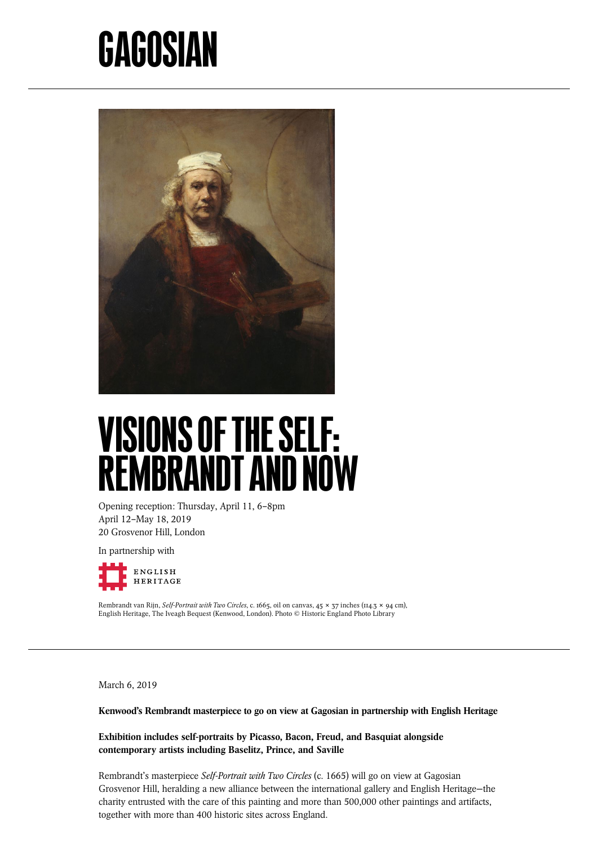## GAGOSIAN



## VISIONS OF THE SELF: REMBRANDT AND NOW

Opening reception: Thursday, April 11, 6–8pm April 12–May 18, 2019 20 Grosvenor Hill, London

In partnership with



Rembrandt van Rijn, *Self-Portrait with Two Circles*, c. 1665, oil on canvas, 45 × 37 inches (114.3 × 94 cm), English Heritage, The Iveagh Bequest (Kenwood, London). Photo © Historic England Photo Library

March 6, 2019

Kenwood's Rembrandt masterpiece to go on view at Gagosian in partnership with English Heritage

Exhibition includes self-portraits by Picasso, Bacon, Freud, and Basquiat alongside contemporary artists including Baselitz, Prince, and Saville

Rembrandt's masterpiece *Self-Portrait with Two Circles* (c. 1665) will go on view at Gagosian Grosvenor Hill, heralding a new alliance between the international gallery and English Heritage—the charity entrusted with the care of this painting and more than 500,000 other paintings and artifacts, together with more than 400 historic sites across England.